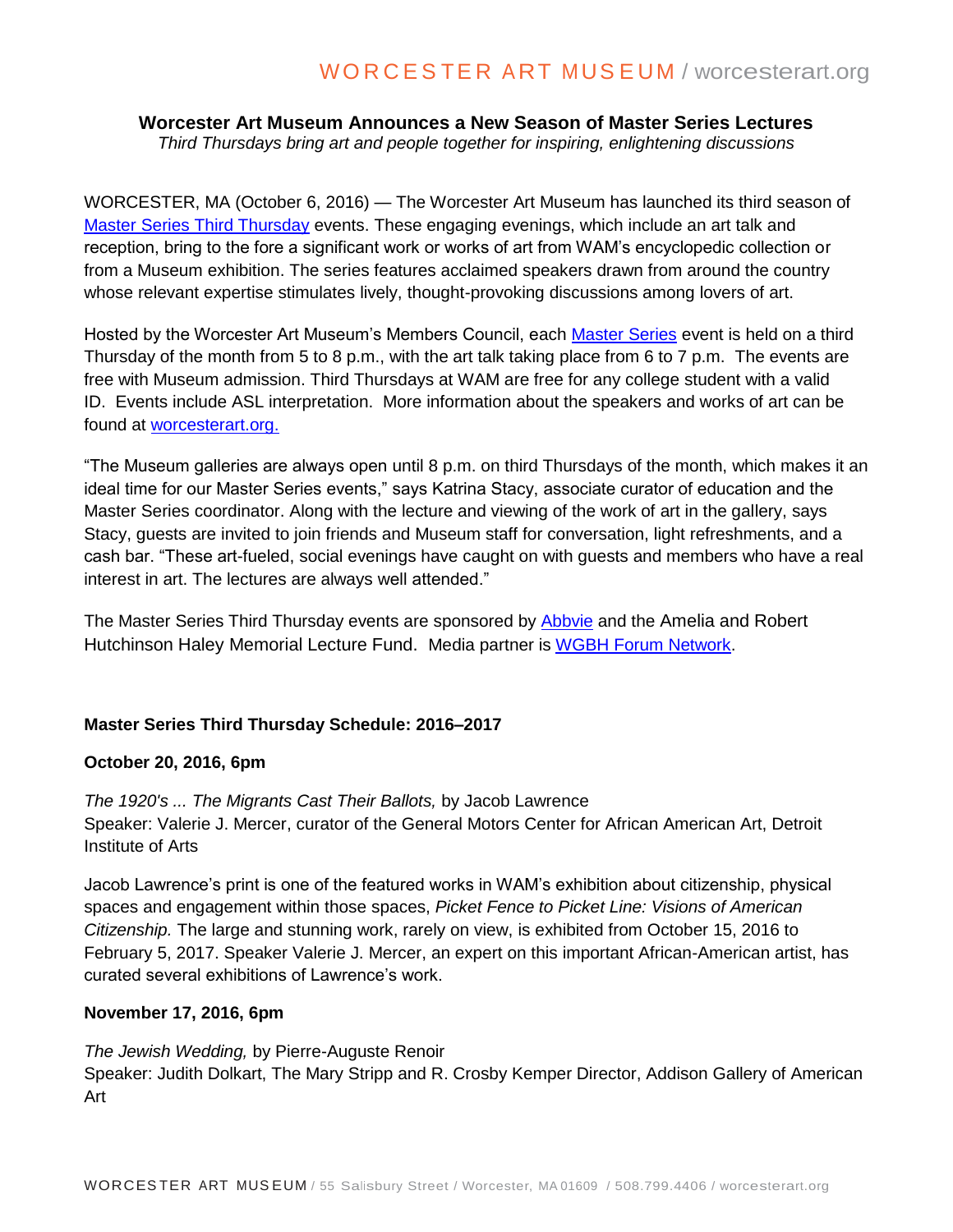# WORCESTER ART MUSEUM / worcesterart.org

## **Worcester Art Museum Announces a New Season of Master Series Lectures**

*Third Thursdays bring art and people together for inspiring, enlightening discussions*

WORCESTER, MA (October 6, 2016) — The Worcester Art Museum has launched its third season of [Master Series Third Thursday](http://www.worcesterart.org/events/master-series/) events. These engaging evenings, which include an art talk and reception, bring to the fore a significant work or works of art from WAM's encyclopedic collection or from a Museum exhibition. The series features acclaimed speakers drawn from around the country whose relevant expertise stimulates lively, thought-provoking discussions among lovers of art.

Hosted by the Worcester Art Museum's Members Council, each [Master Series](http://www.worcesterart.org/events/master-series/) event is held on a third Thursday of the month from 5 to 8 p.m., with the art talk taking place from 6 to 7 p.m. The events are free with Museum admission. Third Thursdays at WAM are free for any college student with a valid ID. Events include ASL interpretation. More information about the speakers and works of art can be found at [worcesterart.org.](http://www.worcesterart.org/)

"The Museum galleries are always open until 8 p.m. on third Thursdays of the month, which makes it an ideal time for our Master Series events," says Katrina Stacy, associate curator of education and the Master Series coordinator. Along with the lecture and viewing of the work of art in the gallery, says Stacy, guests are invited to join friends and Museum staff for conversation, light refreshments, and a cash bar. "These art-fueled, social evenings have caught on with guests and members who have a real interest in art. The lectures are always well attended."

The Master Series Third Thursday events are sponsored by [Abbvie](http://www.abbvie.com/) and the Amelia and Robert Hutchinson Haley Memorial Lecture Fund. Media partner is [WGBH Forum Network.](http://www.forum-network.org/)

### **Master Series Third Thursday Schedule: 2016–2017**

#### **October 20, 2016, 6pm**

*The 1920's ... The Migrants Cast Their Ballots,* by Jacob Lawrence Speaker: Valerie J. Mercer, curator of the General Motors Center for African American Art, Detroit Institute of Arts

Jacob Lawrence's print is one of the featured works in WAM's exhibition about citizenship, physical spaces and engagement within those spaces, *Picket Fence to Picket Line: Visions of American Citizenship.* The large and stunning work, rarely on view, is exhibited from October 15, 2016 to February 5, 2017. Speaker Valerie J. Mercer, an expert on this important African-American artist, has curated several exhibitions of Lawrence's work.

#### **November 17, 2016, 6pm**

*The Jewish Wedding,* by Pierre-Auguste Renoir Speaker: Judith Dolkart, The Mary Stripp and R. Crosby Kemper Director, Addison Gallery of American Art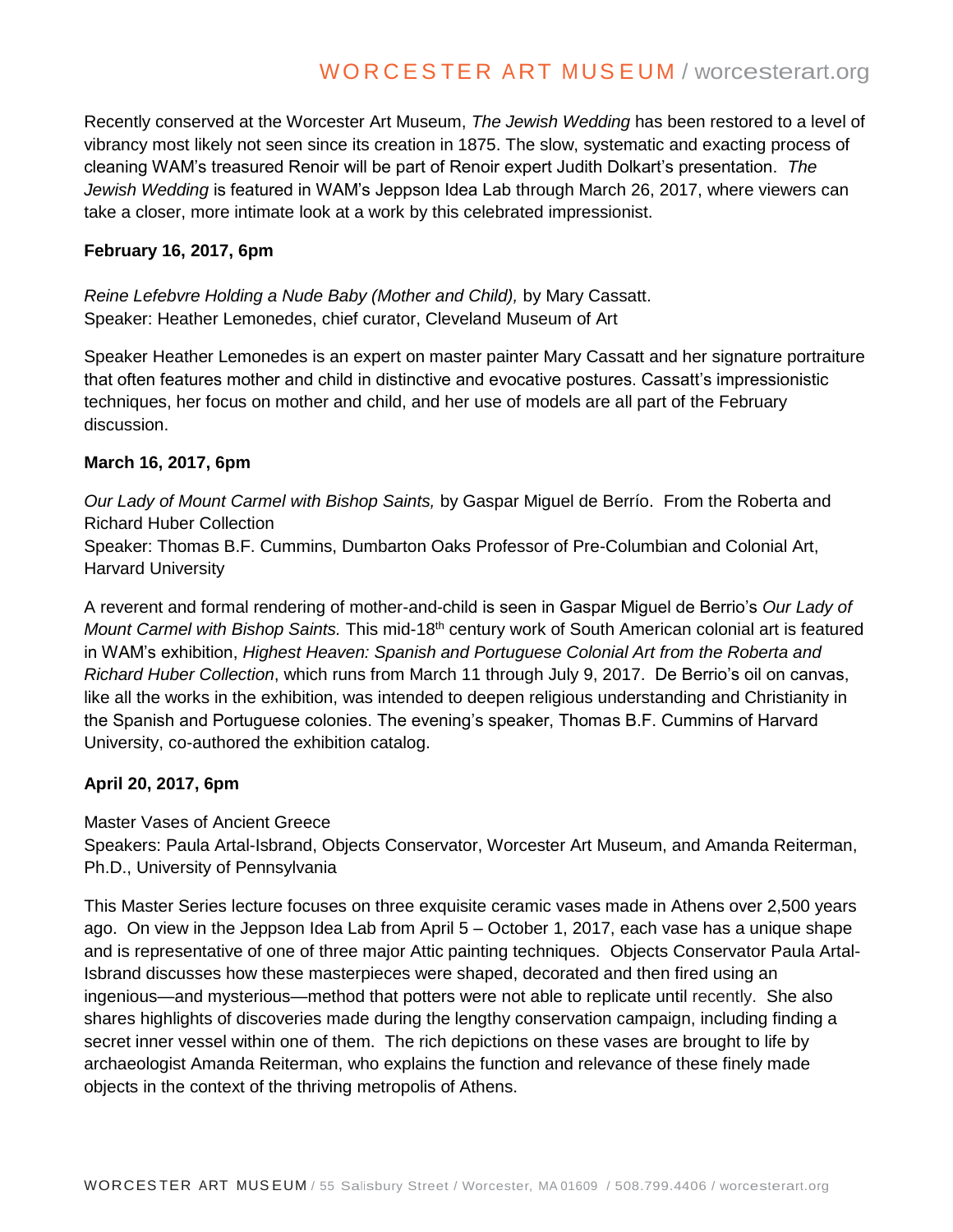# WORCESTER ART MUSEUM / worcesterart.org

Recently conserved at the Worcester Art Museum, *The Jewish Wedding* has been restored to a level of vibrancy most likely not seen since its creation in 1875. The slow, systematic and exacting process of cleaning WAM's treasured Renoir will be part of Renoir expert Judith Dolkart's presentation. *The Jewish Wedding* is featured in WAM's Jeppson Idea Lab through March 26, 2017, where viewers can take a closer, more intimate look at a work by this celebrated impressionist.

#### **February 16, 2017, 6pm**

*Reine Lefebvre Holding a Nude Baby (Mother and Child),* by Mary Cassatt. Speaker: Heather Lemonedes, chief curator, Cleveland Museum of Art

Speaker Heather Lemonedes is an expert on master painter Mary Cassatt and her signature portraiture that often features mother and child in distinctive and evocative postures. Cassatt's impressionistic techniques, her focus on mother and child, and her use of models are all part of the February discussion.

#### **March 16, 2017, 6pm**

*Our Lady of Mount Carmel with Bishop Saints,* by Gaspar Miguel de Berrío. From the Roberta and Richard Huber Collection

Speaker: Thomas B.F. Cummins, Dumbarton Oaks Professor of Pre-Columbian and Colonial Art, Harvard University

A reverent and formal rendering of mother-and-child is seen in Gaspar Miguel de Berrio's *Our Lady of Mount Carmel with Bishop Saints.* This mid-18<sup>th</sup> century work of South American colonial art is featured in WAM's exhibition, *Highest Heaven: Spanish and Portuguese Colonial Art from the Roberta and Richard Huber Collection*, which runs from March 11 through July 9, 2017. De Berrio's oil on canvas, like all the works in the exhibition, was intended to deepen religious understanding and Christianity in the Spanish and Portuguese colonies. The evening's speaker, Thomas B.F. Cummins of Harvard University, co-authored the exhibition catalog.

### **April 20, 2017, 6pm**

Master Vases of Ancient Greece

Speakers: Paula Artal-Isbrand, Objects Conservator, Worcester Art Museum, and Amanda Reiterman, Ph.D., University of Pennsylvania

This Master Series lecture focuses on three exquisite ceramic vases made in Athens over 2,500 years ago. On view in the Jeppson Idea Lab from April 5 – October 1, 2017, each vase has a unique shape and is representative of one of three major Attic painting techniques. Objects Conservator Paula Artal-Isbrand discusses how these masterpieces were shaped, decorated and then fired using an ingenious—and mysterious—method that potters were not able to replicate until recently. She also shares highlights of discoveries made during the lengthy conservation campaign, including finding a secret inner vessel within one of them. The rich depictions on these vases are brought to life by archaeologist Amanda Reiterman, who explains the function and relevance of these finely made objects in the context of the thriving metropolis of Athens.